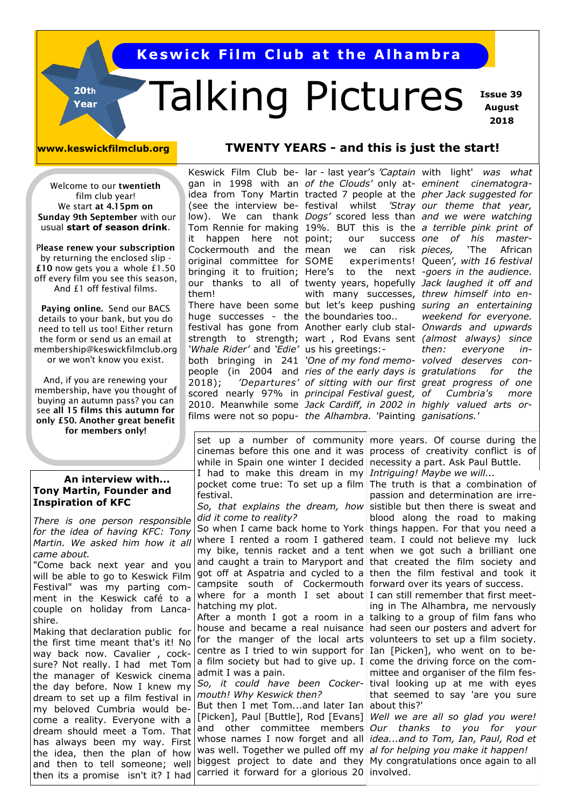**Keswick Film Club at the Alhambra** 

# Talking Pictures

 **Issue 39 August 2018**

20th Year

#### **www.keswickfilmclub.org TWENTY YEARS - and this is just the start!**

Welcome to our **twentieth**  film club year! We start **at 4.15pm on Sunday 9th September** with our usual **start of season drink**.

P**lease renew your subscription**  by returning the enclosed slip - **£10** now gets you a whole £1.50 off every film you see this season, And £1 off festival films.

**Paying online.** Send our BACS details to your bank, but you do need to tell us too! Either return the form or send us an email at membership@keswickfilmclub.org or we won't know you exist.

And, if you are renewing your membership, have you thought of buying an autumn pass? you can see **all 15 films this autumn for only £50. Another great benefit for members only!**

#### **An interview with... Tony Martin, Founder and Inspiration of KFC**

*There is one person responsible for the idea of having KFC: Tony Martin. We asked him how it all came about.*

"Come back next year and you will be able to go to Keswick Film Festival" was my parting comment in the Keswick café to a couple on holiday from Lancashire.

Making that declaration public for the first time meant that's it! No way back now. Cavalier , cocksure? Not really. I had met Tom the manager of Keswick cinema the day before. Now I knew my dream to set up a film festival in my beloved Cumbria would become a reality. Everyone with a dream should meet a Tom. That has always been my way. First the idea, then the plan of how and then to tell someone; well then its a promise isn't it? I had

gan in 1998 with an *of the Clouds'* only at-*eminent cinematogra*it happen here not point; Cockermouth and the mean we can risk original committee for SOME them! huge successes - the the boundaries too.. 'Whale Rider' and 'Edie' us his greetings:-

both bringing in 241 *'One of my fond memo-volved deserves con*scored nearly 97% in *principal Festival guest,*  2010. Meanwhile some *Jack Cardiff, in 2002 in highly valued arts or*films were not so popu-*the Alhambra.* 'Painting *ganisations.'*  point; our success *one of his master-*SOME experiments! Queen'*, with 16 festival* with many successes, *threw himself into en-*

Keswick Film Club be-lar - last year's *'Captain*  with light' *was what*  idea from Tony Martin tracted 7 people at the *pher Jack suggested for* (see the interview be-festival whilst *'Stray our theme that year,*  low). We can thank *Dogs'* scored less than and we were watching Tom Rennie for making 19%. BUT this is the *a terrible pink print of*  bringing it to fruition; Here's to the next *-goers in the audience.*  our thanks to all of twenty years, hopefully *Jack laughed it off and*  There have been some but let's keep pushing *suring an entertaining*  festival has gone from Another early club stal-*Onwards and upwards*  strength to strength; wart , Rod Evans sent *(almost always) since*  people (in 2004 and *ries of the early days is gratulations for the*  2018); *'Departures' of sitting with our first great progress of one pieces,* 'The African *weekend for everyone. then: everyone inof Cumbria's more* 

set up a number of community more years. Of course during the cinemas before this one and it was process of creativity conflict is of while in Spain one winter I decided necessity a part. Ask Paul Buttle. I had to make this dream in my *Intriguing! Maybe we will...* festival.

*did it come to reality?*

So when I came back home to York things happen. For that you need a where I rented a room I gathered team. I could not believe my luck my bike, tennis racket and a tent when we got such a brilliant one and caught a train to Maryport and that created the film society and got off at Aspatria and cycled to a then the film festival and took it campsite south of Cockermouth forward over its years of success. where for a month I set about I can still remember that first meethatching my plot.

centre as I tried to win support for Ian [Picken], who went on to bea film society but had to give up. I come the driving force on the comadmit I was a pain.

*mouth! Why Keswick then?* 

But then I met Tom...and later Ian about this?' [Picken], Paul [Buttle], Rod [Evans] *Well we are all so glad you were!*  and other committee members *Our thanks to you for your*  whose names I now forget and all *idea...and to Tom, Ian, Paul, Rod et*  was well. Together we pulled off my *al for helping you make it happen!* biggest project to date and they My congratulations once again to all carried it forward for a glorious 20 involved.

pocket come true: To set up a film The truth is that a combination of *So, that explains the dream, how*  sistible but then there is sweat and passion and determination are irreblood along the road to making

After a month I got a room in a talking to a group of film fans who house and became a real nuisance had seen our posters and advert for for the manger of the local arts volunteers to set up a film society. *So, it could have been Cocker-*tival looking up at me with eyes ing in The Alhambra, me nervously mittee and organiser of the film festhat seemed to say 'are you sure